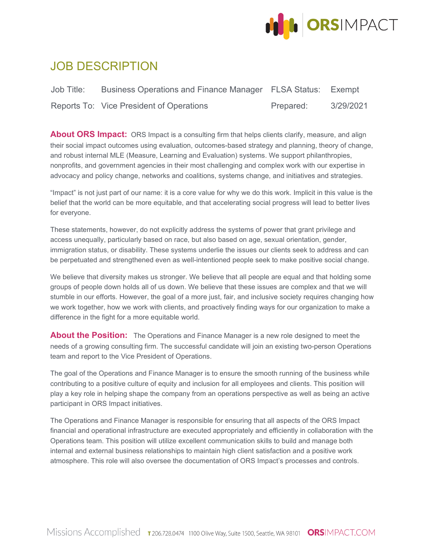

# JOB DESCRIPTION

| Job Title: | Business Operations and Finance Manager FLSA Status: Exempt |           |           |
|------------|-------------------------------------------------------------|-----------|-----------|
|            | Reports To: Vice President of Operations                    | Prepared: | 3/29/2021 |

About ORS Impact: ORS Impact is a consulting firm that helps clients clarify, measure, and align their social impact outcomes using evaluation, outcomes-based strategy and planning, theory of change, and robust internal MLE (Measure, Learning and Evaluation) systems. We support philanthropies, nonprofits, and government agencies in their most challenging and complex work with our expertise in advocacy and policy change, networks and coalitions, systems change, and initiatives and strategies.

"Impact" is not just part of our name: it is a core value for why we do this work. Implicit in this value is the belief that the world can be more equitable, and that accelerating social progress will lead to better lives for everyone.

These statements, however, do not explicitly address the systems of power that grant privilege and access unequally, particularly based on race, but also based on age, sexual orientation, gender, immigration status, or disability. These systems underlie the issues our clients seek to address and can be perpetuated and strengthened even as well-intentioned people seek to make positive social change.

We believe that diversity makes us stronger. We believe that all people are equal and that holding some groups of people down holds all of us down. We believe that these issues are complex and that we will stumble in our efforts. However, the goal of a more just, fair, and inclusive society requires changing how we work together, how we work with clients, and proactively finding ways for our organization to make a difference in the fight for a more equitable world.

**About the Position:** The Operations and Finance Manager is a new role designed to meet the needs of a growing consulting firm. The successful candidate will join an existing two-person Operations team and report to the Vice President of Operations.

The goal of the Operations and Finance Manager is to ensure the smooth running of the business while contributing to a positive culture of equity and inclusion for all employees and clients. This position will play a key role in helping shape the company from an operations perspective as well as being an active participant in ORS Impact initiatives.

The Operations and Finance Manager is responsible for ensuring that all aspects of the ORS Impact financial and operational infrastructure are executed appropriately and efficiently in collaboration with the Operations team. This position will utilize excellent communication skills to build and manage both internal and external business relationships to maintain high client satisfaction and a positive work atmosphere. This role will also oversee the documentation of ORS Impact's processes and controls.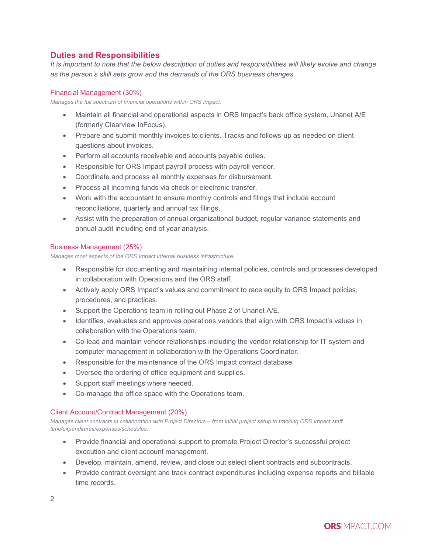## **Duties and Responsibilities**

*It is important to note that the below description of duties and responsibilities will likely evolve and change as the person's skill sets grow and the demands of the ORS business changes.*

### Financial Management (30%)

*Manages the full spectrum of financial operations within ORS Impact.*

- Maintain all financial and operational aspects in ORS Impact's back office system, Unanet A/E (formerly Clearview InFocus).
- Prepare and submit monthly invoices to clients. Tracks and follows-up as needed on client questions about invoices.
- Perform all accounts receivable and accounts payable duties.
- Responsible for ORS Impact payroll process with payroll vendor.
- Coordinate and process all monthly expenses for disbursement.
- Process all incoming funds via check or electronic transfer.
- Work with the accountant to ensure monthly controls and filings that include account reconciliations, quarterly and annual tax filings.
- Assist with the preparation of annual organizational budget, regular variance statements and annual audit including end of year analysis.

## Business Management (25%)

*Manages most aspects of the ORS Impact internal business infrastructure.*

- Responsible for documenting and maintaining internal policies, controls and processes developed in collaboration with Operations and the ORS staff.
- Actively apply ORS Impact's values and commitment to race equity to ORS Impact policies, procedures, and practices.
- Support the Operations team in rolling out Phase 2 of Unanet A/E.
- Identifies, evaluates and approves operations vendors that align with ORS Impact's values in collaboration with the Operations team.
- Co-lead and maintain vendor relationships including the vendor relationship for IT system and computer management in collaboration with the Operations Coordinator.
- Responsible for the maintenance of the ORS Impact contact database.
- Oversee the ordering of office equipment and supplies.
- Support staff meetings where needed.
- Co-manage the office space with the Operations team.

#### Client Account/Contract Management (20%)

*Manages client contracts in collaboration with Project Directors – from initial project setup to tracking ORS Impact staff time/expenditures/expenses/schedules.*

- Provide financial and operational support to promote Project Director's successful project execution and client account management.
- Develop, maintain, amend, review, and close out select client contracts and subcontracts.
- Provide contract oversight and track contract expenditures including expense reports and billable time records.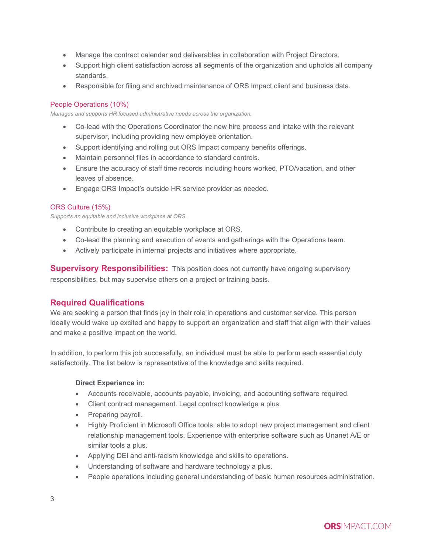- Manage the contract calendar and deliverables in collaboration with Project Directors.
- Support high client satisfaction across all segments of the organization and upholds all company standards.
- Responsible for filing and archived maintenance of ORS Impact client and business data.

## People Operations (10%)

*Manages and supports HR focused administrative needs across the organization.*

- Co-lead with the Operations Coordinator the new hire process and intake with the relevant supervisor, including providing new employee orientation.
- Support identifying and rolling out ORS Impact company benefits offerings.
- Maintain personnel files in accordance to standard controls.
- Ensure the accuracy of staff time records including hours worked, PTO/vacation, and other leaves of absence.
- Engage ORS Impact's outside HR service provider as needed.

## ORS Culture (15%)

*Supports an equitable and inclusive workplace at ORS.* 

- Contribute to creating an equitable workplace at ORS.
- Co-lead the planning and execution of events and gatherings with the Operations team.
- Actively participate in internal projects and initiatives where appropriate.

**Supervisory Responsibilities:** This position does not currently have ongoing supervisory responsibilities, but may supervise others on a project or training basis.

## **Required Qualifications**

We are seeking a person that finds joy in their role in operations and customer service. This person ideally would wake up excited and happy to support an organization and staff that align with their values and make a positive impact on the world.

In addition, to perform this job successfully, an individual must be able to perform each essential duty satisfactorily. The list below is representative of the knowledge and skills required.

#### **Direct Experience in:**

- Accounts receivable, accounts payable, invoicing, and accounting software required.
- Client contract management. Legal contract knowledge a plus.
- Preparing payroll.
- Highly Proficient in Microsoft Office tools; able to adopt new project management and client relationship management tools. Experience with enterprise software such as Unanet A/E or similar tools a plus.
- Applying DEI and anti-racism knowledge and skills to operations.
- Understanding of software and hardware technology a plus.
- People operations including general understanding of basic human resources administration.